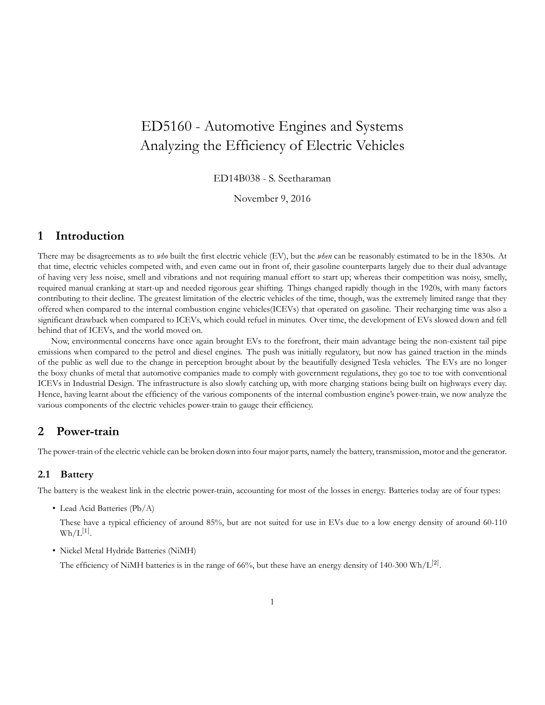# ED5160 - Automotive Engines and Systems Analyzing the Efficiency of Electric Vehicles

ED14B038 - S. Seetharaman

November 9, 2016

## **1 Introduction**

There may be disagreements as to *who* built the first electric vehicle (EV), but the *when* can be reasonably estimated to be in the 1830s. At that time, electric vehicles competed with, and even came out in front of, their gasoline counterparts largely due to their dual advantage of having very less noise, smell and vibrations and not requiring manual effort to start up; whereas their competition was noisy, smelly, required manual cranking at start-up and needed rigorous gear shifting. Things changed rapidly though in the 1920s, with many factors contributing to their decline. The greatest limitation of the electric vehicles of the time, though, was the extremely limited range that they offered when compared to the internal combustion engine vehicles(ICEVs) that operated on gasoline. Their recharging time was also a significant drawback when compared to ICEVs, which could refuel in minutes. Over time, the development of EVs slowed down and fell behind that of ICEVs, and the world moved on.

Now, environmental concerns have once again brought EVs to the forefront, their main advantage being the non-existent tail pipe emissions when compared to the petrol and diesel engines. The push was initially regulatory, but now has gained traction in the minds of the public as well due to the change in perception brought about by the beautifully designed Tesla vehicles. The EVs are no longer the boxy chunks of metal that automotive companies made to comply with government regulations, they go toe to toe with conventional ICEVs in Industrial Design. The infrastructure is also slowly catching up, with more charging stations being built on highways every day. Hence, having learnt about the efficiency of the various components of the internal combustion engine's power-train, we now analyze the various components of the electric vehicles power-train to gauge their efficiency.

## **2 Power-train**

The power-train of the electric vehicle can be broken down into four major parts, namely the battery, transmission, motor and the generator.

#### **2.1 Battery**

The battery is the weakest link in the electric power-train, accounting for most of the losses in energy. Batteries today are of four types:

• Lead Acid Batteries (Pb/A)

These have a typical efficiency of around 85%, but are not suited for use in EVs due to a low energy density of around 60-110  $\text{Wh/L}^{[1]}$ .

• Nickel Metal Hydride Batteries (NiMH)

The efficiency of NiMH batteries is in the range of 66%, but these have an energy density of 140-300 Wh/L<sup>[2]</sup>.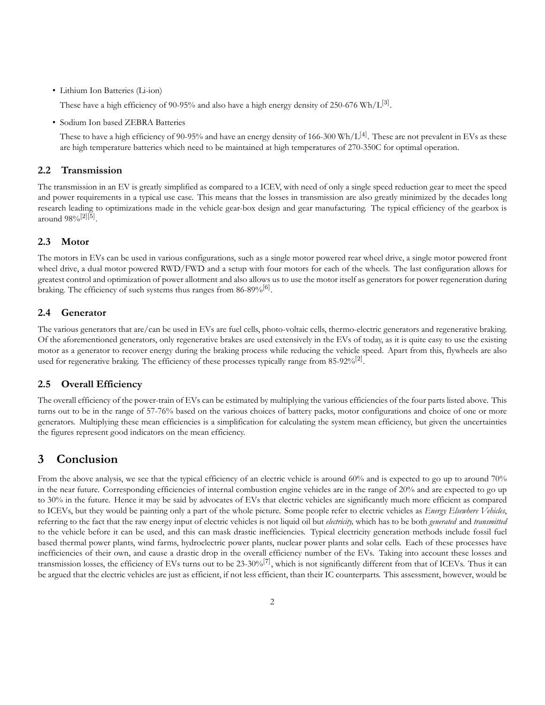• Lithium Ion Batteries (Li-ion)

These have a high efficiency of 90-95% and also have a high energy density of 250-676  $\mathrm{Wh/L}^{[3]}$ .

• Sodium Ion based ZEBRA Batteries

These to have a high efficiency of 90-95% and have an energy density of 166-300 Wh/L<sup>[4]</sup>. These are not prevalent in EVs as these are high temperature batteries which need to be maintained at high temperatures of 270-350C for optimal operation.

#### **2.2 Transmission**

The transmission in an EV is greatly simplified as compared to a ICEV, with need of only a single speed reduction gear to meet the speed and power requirements in a typical use case. This means that the losses in transmission are also greatly minimized by the decades long research leading to optimizations made in the vehicle gear-box design and gear manufacturing. The typical efficiency of the gearbox is around 98%<sup>[2][5]</sup>.

#### **2.3 Motor**

The motors in EVs can be used in various configurations, such as a single motor powered rear wheel drive, a single motor powered front wheel drive, a dual motor powered RWD/FWD and a setup with four motors for each of the wheels. The last configuration allows for greatest control and optimization of power allotment and also allows us to use the motor itself as generators for power regeneration during braking. The efficiency of such systems thus ranges from  $86-89\%^{[6]}$ .

#### **2.4 Generator**

The various generators that are/can be used in EVs are fuel cells, photo-voltaic cells, thermo-electric generators and regenerative braking. Of the aforementioned generators, only regenerative brakes are used extensively in the EVs of today, as it is quite easy to use the existing motor as a generator to recover energy during the braking process while reducing the vehicle speed. Apart from this, flywheels are also used for regenerative braking. The efficiency of these processes typically range from 85-92% $^{[2]}$ .

#### **2.5 Overall Efficiency**

The overall efficiency of the power-train of EVs can be estimated by multiplying the various efficiencies of the four parts listed above. This turns out to be in the range of 57-76% based on the various choices of battery packs, motor configurations and choice of one or more generators. Multiplying these mean efficiencies is a simplification for calculating the system mean efficiency, but given the uncertainties the figures represent good indicators on the mean efficiency.

### **3 Conclusion**

From the above analysis, we see that the typical efficiency of an electric vehicle is around 60% and is expected to go up to around 70% in the near future. Corresponding efficiencies of internal combustion engine vehicles are in the range of 20% and are expected to go up to 30% in the future. Hence it may be said by advocates of EVs that electric vehicles are significantly much more efficient as compared to ICEVs, but they would be painting only a part of the whole picture. Some people refer to electric vehicles as *Energy Elsewhere Vehicles*, referring to the fact that the raw energy input of electric vehicles is not liquid oil but *electricity,* which has to be both *generated* and *transmitted* to the vehicle before it can be used, and this can mask drastic inefficiencies. Typical electricity generation methods include fossil fuel based thermal power plants, wind farms, hydroelectric power plants, nuclear power plants and solar cells. Each of these processes have inefficiencies of their own, and cause a drastic drop in the overall efficiency number of the EVs. Taking into account these losses and transmission losses, the efficiency of EVs turns out to be  $23\text{-}30\%$ <sup>[7]</sup>, which is not significantly different from that of ICEVs. Thus it can be argued that the electric vehicles are just as efficient, if not less efficient, than their IC counterparts. This assessment, however, would be